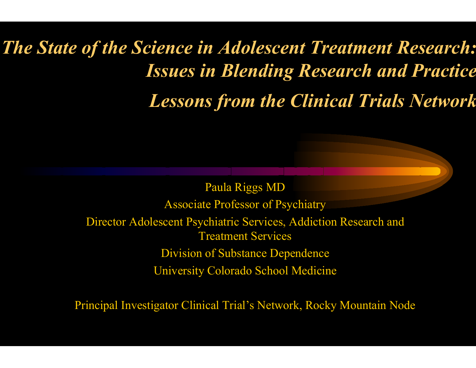## *The State of the Science in Adolescent Treatment Research: Issues in Blending Research and Practice Lessons from the Clinical Trials Network*

Paula Riggs MD Associate Professor of Psychiatry Director Adolescent Psychiatric Services, Addiction Research and Treatment Services Division of Substance Dependence University Colorado School Medicine

Principal Investigator Clinical Trial's Network, Rocky Mountain Node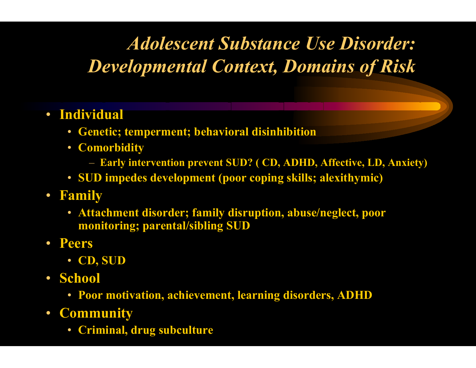## *Adolescent Substance Use Disorder: Developmental Context, Domains of Risk*

- **Individual** 
	- $\bullet$ **Genetic; temperment; behavioral disinhibition**
	- **Comorbidity**
		- **Early intervention prevent SUD? ( CD, ADHD, Affective, LD, Anxiety)**
	- **SUD impedes development (poor coping skills; alexithymic)**
- **Family** 
	- **Attachment disorder; family disruption, abuse/neglect, poor monitoring; parental/sibling SUD**
- **Peers**
	- **CD, SUD**
- **School** 
	- **Poor motivation, achievement, learning disorders, ADHD**
- **Community**
	- •**Criminal, drug subculture**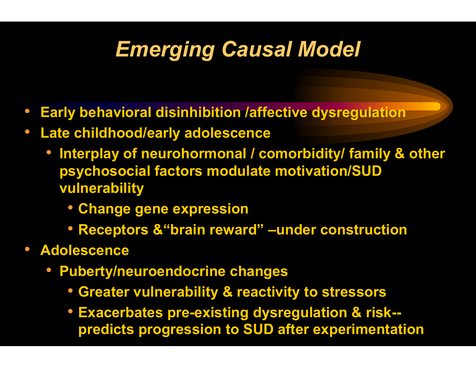## *Emerging Causal Model*

- $\bullet$ **Earl y behavioral disinhibition /affective dysregulation**
- $\bullet$  **Late childhood/early adolescence**
	- **Interplay of neurohormonal / comorbidity / family & other psy chosocial factors modulate motivation/SUD vulnerabilit y**
		- **Change gene expression**
		- **Receptors &"brain re w ard" –under construction**
- **Adolescence**
	- **Pubert y /neuroendocrine changes**
		- **Greater vulnerabilit y & reactivity to stressors**
		- **Exacerb ates pre-existing d ysregulation & risk- predicts progression to SUD after experimentation**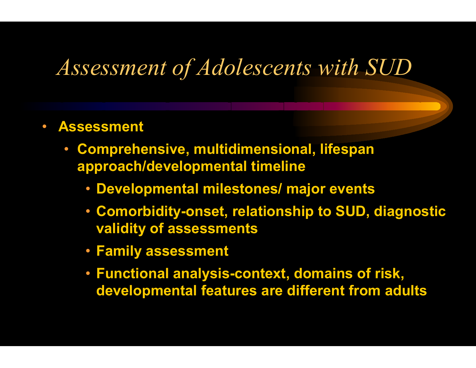## *Assessment of Adolescents with SUD*

- $\bullet$  **Assessment**
	- • **Comprehensive, multidimensional, lifespan approach/developmental timeline**
		- **Developmental milestones/ major events**
		- **Comorbidit y -onset, relationship to SUD, diagnostic validit y of assessments**
		- **Family assessment**
		- **Functional anal y sis-context, domains of risk, developmental features are different from adults**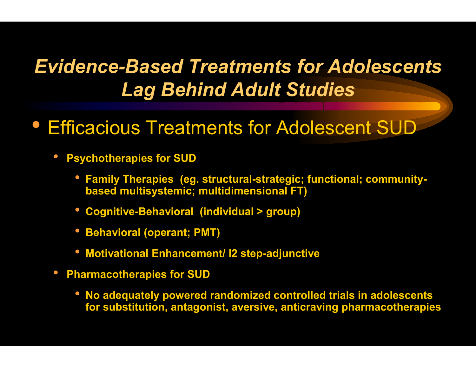### *Evidence-Based Treatments for Adolescents Lag Behind Adult Studies*

- Efficacious Treatments for Adolescent SUD
	- •**• Psychotherapies for SUD** 
		- $\bullet$  Family Therapies (eg. structural-strategic; functional; community**based multisystemic; multidimensio n al FT)**
		- **Cogniti v e-Be h a vioral (individual > group)**
		- **Beha vioral (operant; PMT)**
		- $\bullet$  Motivational Enhancement/ I2 step-adjunctive
	- $\bullet$  **Pharmacotherapies for SUD**
		- **No adequately powered randomized controlled trials in adolescents** for substitution, antagonist, aversive, anticraving pharmacotherapies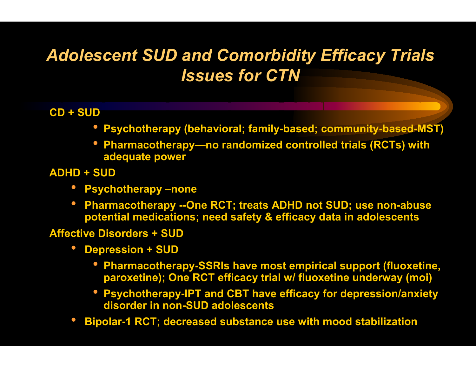### *Adolescent SUD and Comorbidity Efficacy Trials Issues for CTN*

#### **CD + SUD**

- **Ps y c h o t h erap y (beh a vioral; family-b ased; commu nity-based-MST)**
- •• Pharmacotherapy—no randomized controlled trials (RCTs) with **adequate power**
- **ADHD + SUD**
	- **Psychotherapy -none**
	- **Pharma c othe r a p y --One RCT; tre a t s ADHD not SUD; us e non-abus e potential medications; need safet y & efficacy data in adolescents**

#### **Affective Disorders + SUD**

- **Depre s sion + SUD** 
	- **Pharma c othe r a p y -SSRIs h a v e mos t e mpiric al support (fluox e tine, parox e tine); One RCT effic a c y trial w / fluo x e tine unde rway (moi)**
	- Psychotherapy-IPT and CBT have efficacy for depression/anxiety **disorder innon-SUD adolescents**
- •**Bipolar-1 RCT; decreased substance use wit h mood stabilizati on**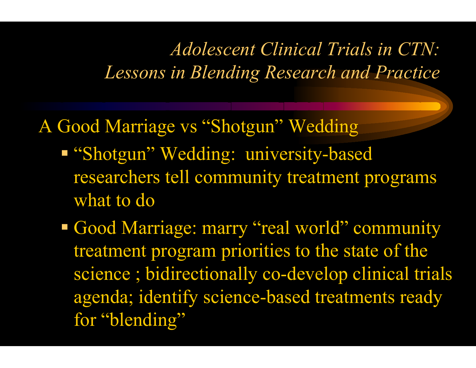### *Adolescent Clinical Trials in CTN: Lessons in Blending Research and Practice*

A Good Marriage vs "Shotgun" Wedding

- **"** "Shotgun" Wedding: university-based researchers tell community treatment programs what to do
- Good Marriage: marry "real world" community treatment program priorities to the state of the science ; bidirectionally co-develop clinical trials agenda; identify science-based treatments ready for "blending"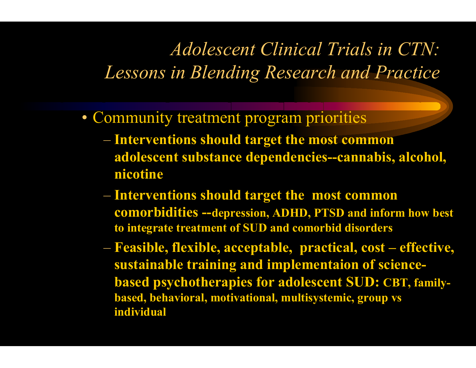### *Adolescent Clinical Trials in CTN: Lessons in Blending Research and Practice*

- Community treatment program priorities
	- $\mathcal{L}_{\mathcal{A}}$  , and the set of  $\mathcal{L}_{\mathcal{A}}$  **Interventions should target the most common adolescent substance dependencies--cannabis, alcohol, nicotine**
	- $\mathcal{L}_{\mathcal{A}}$  **Interventions should target the most common comorbidities --depression, ADHD, PTSD and inform how best to integrate treatment of SUD and comorbid disorders**
	- $\mathcal{L}_{\mathcal{A}}$  **Feasible, flexible, acceptable, practical, cost – effective, sustainable training and implementaion of sciencebased psychotherapies for adolescent SUD: CBT, familybased, behavioral, motivational, multisystemic, group vs individual**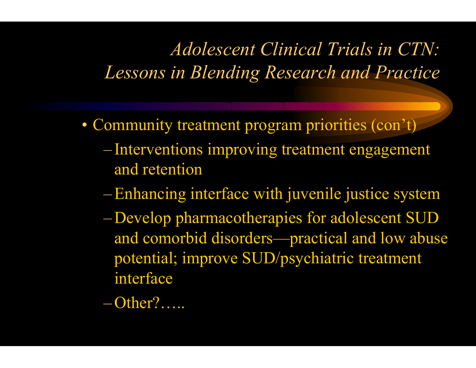## *Adolescent Clinical Trials in CTN: Lessons in Blending Research and Practice*

- Community treatment program priorities (con't)
	- Interventions improving treatment engagement and retention
	- –Enhancing interface with juvenile justice system
	- –Develop pharmacotherapies for adolescent SUD and comorbid disorders—practical and low abuse potential; improve SUD/psychiatric treatment interface
	- –Other?…..